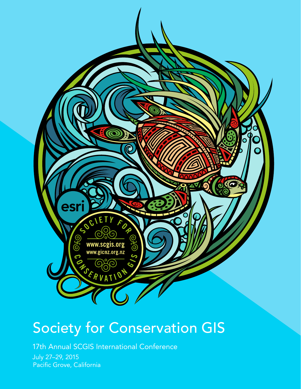

# Society for Conservation GIS

17th Annual SCGIS International Conference

July 27–29, 2015 Pacific Grove, California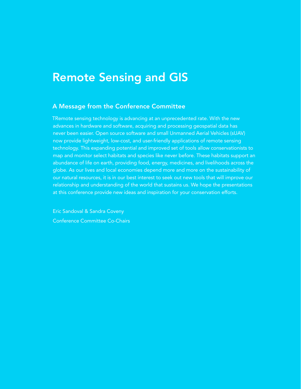### Remote Sensing and GIS

#### A Message from the Conference Committee

TRemote sensing technology is advancing at an unprecedented rate. With the new advances in hardware and software, acquiring and processing geospatial data has never been easier. Open source software and small Unmanned Aerial Vehicles (sUAV) now provide lightweight, low-cost, and user-friendly applications of remote sensing technology. This expanding potential and improved set of tools allow conservationists to map and monitor select habitats and species like never before. These habitats support an abundance of life on earth, providing food, energy, medicines, and livelihoods across the globe. As our lives and local economies depend more and more on the sustainability of our natural resources, it is in our best interest to seek out new tools that will improve our relationship and understanding of the world that sustains us. We hope the presentations at this conference provide new ideas and inspiration for your conservation efforts.

Eric Sandoval & Sandra Coveny Conference Committee Co-Chairs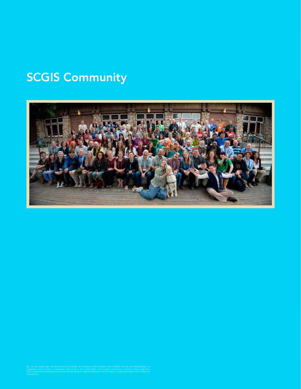## **SCGIS Community**